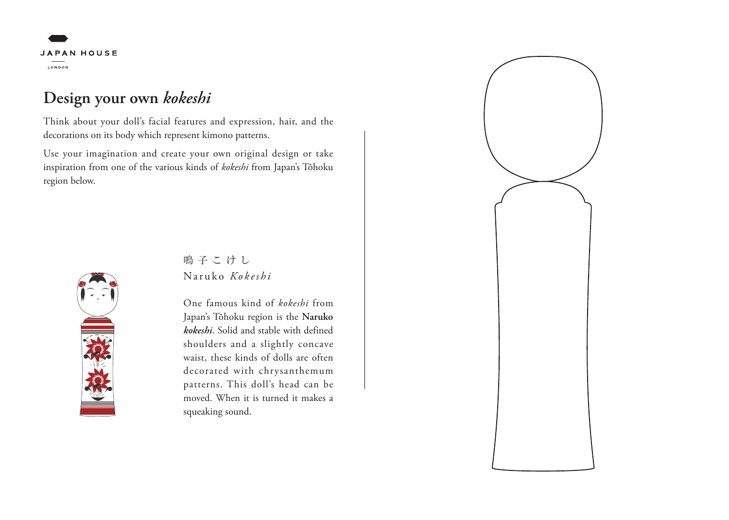# **JAPAN HOUSE** LONDON

### **Design your own** *kokeshi*

Think about your doll's facial features and expression, hair, and the decorations on its body which represent kimono patterns.

Use your imagination and create your own original design or take inspiration from one of the various kinds of *kokeshi* from Japan's Tōhoku region below.



#### Naruko *Kokeshi* 鳴子こけし

One famous kind of *kokeshi* from Japan's Tōhoku region is the **Naruko**  *kokeshi*. Solid and stable with defined shoulders and a slightly concave waist, these kinds of dolls are often decorated with chrysanthemum patterns. This doll's head can be moved. When it is turned it makes a squeaking sound.

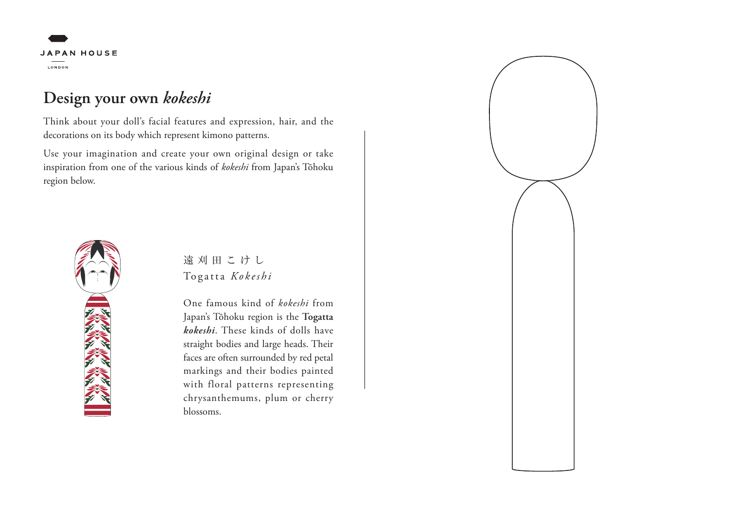# **JAPAN HOUSE** LONDON

## **Design your own** *kokeshi*

Think about your doll's facial features and expression, hair, and the decorations on its body which represent kimono patterns.

Use your imagination and create your own original design or take inspiration from one of the various kinds of *kokeshi* from Japan's Tōhoku region below.



#### Togatta *Kokeshi* 遠刈田こけし

One famous kind of *kokeshi* from Japan's Tōhoku region is the **Togatta**  *kokeshi*. These kinds of dolls have straight bodies and large heads. Their faces are often surrounded by red petal markings and their bodies painted with floral patterns representing chrysanthemums, plum or cherry blossoms.